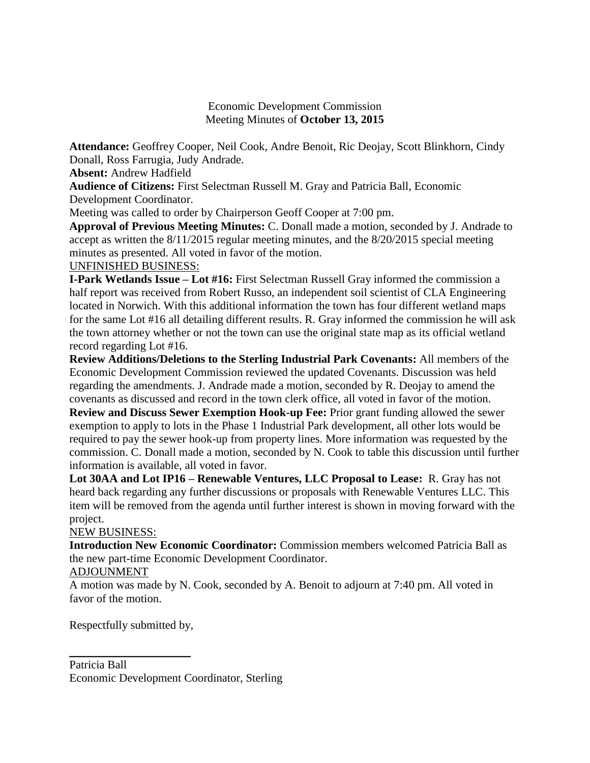#### Economic Development Commission Meeting Minutes of **October 13, 2015**

**Attendance:** Geoffrey Cooper, Neil Cook, Andre Benoit, Ric Deojay, Scott Blinkhorn, Cindy Donall, Ross Farrugia, Judy Andrade.

**Absent:** Andrew Hadfield

**Audience of Citizens:** First Selectman Russell M. Gray and Patricia Ball, Economic Development Coordinator.

Meeting was called to order by Chairperson Geoff Cooper at 7:00 pm.

**Approval of Previous Meeting Minutes:** C. Donall made a motion, seconded by J. Andrade to accept as written the 8/11/2015 regular meeting minutes, and the 8/20/2015 special meeting minutes as presented. All voted in favor of the motion.

#### UNFINISHED BUSINESS:

**I-Park Wetlands Issue – Lot #16:** First Selectman Russell Gray informed the commission a half report was received from Robert Russo, an independent soil scientist of CLA Engineering located in Norwich. With this additional information the town has four different wetland maps for the same Lot #16 all detailing different results. R. Gray informed the commission he will ask the town attorney whether or not the town can use the original state map as its official wetland record regarding Lot #16.

**Review Additions/Deletions to the Sterling Industrial Park Covenants:** All members of the Economic Development Commission reviewed the updated Covenants. Discussion was held regarding the amendments. J. Andrade made a motion, seconded by R. Deojay to amend the covenants as discussed and record in the town clerk office, all voted in favor of the motion. **Review and Discuss Sewer Exemption Hook-up Fee:** Prior grant funding allowed the sewer exemption to apply to lots in the Phase 1 Industrial Park development, all other lots would be

required to pay the sewer hook-up from property lines. More information was requested by the commission. C. Donall made a motion, seconded by N. Cook to table this discussion until further information is available, all voted in favor.

**Lot 30AA and Lot IP16 – Renewable Ventures, LLC Proposal to Lease:** R. Gray has not heard back regarding any further discussions or proposals with Renewable Ventures LLC. This item will be removed from the agenda until further interest is shown in moving forward with the project.

## NEW BUSINESS:

**Introduction New Economic Coordinator:** Commission members welcomed Patricia Ball as the new part-time Economic Development Coordinator.

## ADJOUNMENT

A motion was made by N. Cook, seconded by A. Benoit to adjourn at 7:40 pm. All voted in favor of the motion.

Respectfully submitted by,

\_\_\_\_\_\_\_\_\_\_\_\_\_\_\_\_\_\_\_\_\_

Patricia Ball Economic Development Coordinator, Sterling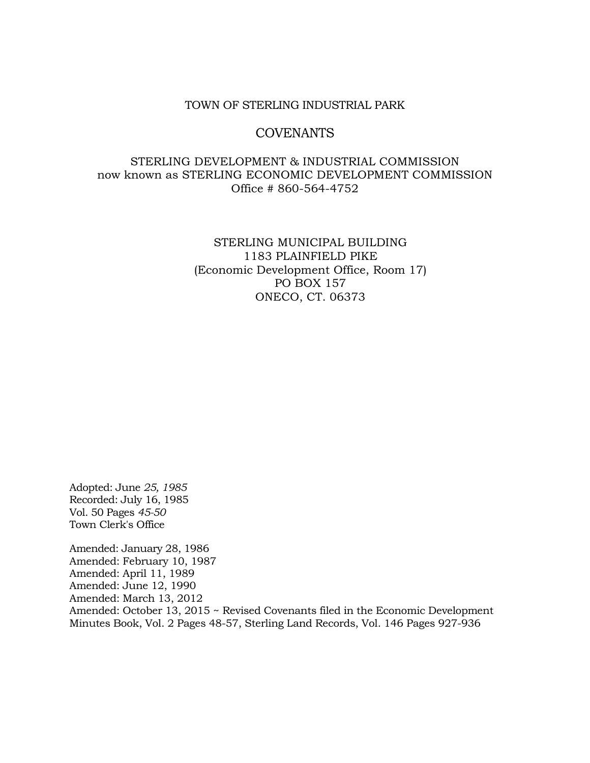#### TOWN OF STERLING INDUSTRIAL PARK

### COVENANTS

## STERLING DEVELOPMENT & INDUSTRIAL COMMISSION now known as STERLING ECONOMIC DEVELOPMENT COMMISSION Office # 860-564-4752

### STERLING MUNICIPAL BUILDING 1183 PLAINFIELD PIKE (Economic Development Office, Room 17) PO BOX 157 ONECO, CT. 06373

Adopted: June *25, 1985*  Recorded: July 16, 1985 Vol. 50 Pages *45-50* Town Clerk's Office

Amended: January 28, 1986 Amended: February 10, 1987 Amended: April 11, 1989 Amended: June 12, 1990 Amended: March 13, 2012 Amended: October 13, 2015 ~ Revised Covenants filed in the Economic Development Minutes Book, Vol. 2 Pages 48-57, Sterling Land Records, Vol. 146 Pages 927-936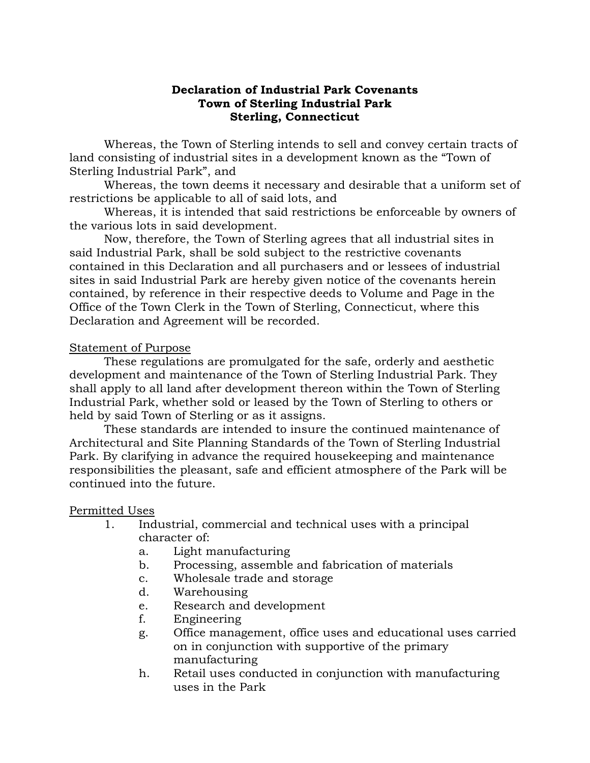#### **Declaration of Industrial Park Covenants Town of Sterling Industrial Park Sterling, Connecticut**

Whereas, the Town of Sterling intends to sell and convey certain tracts of land consisting of industrial sites in a development known as the "Town of Sterling Industrial Park", and

Whereas, the town deems it necessary and desirable that a uniform set of restrictions be applicable to all of said lots, and

Whereas, it is intended that said restrictions be enforceable by owners of the various lots in said development.

Now, therefore, the Town of Sterling agrees that all industrial sites in said Industrial Park, shall be sold subject to the restrictive covenants contained in this Declaration and all purchasers and or lessees of industrial sites in said Industrial Park are hereby given notice of the covenants herein contained, by reference in their respective deeds to Volume and Page in the Office of the Town Clerk in the Town of Sterling, Connecticut, where this Declaration and Agreement will be recorded.

## Statement of Purpose

These regulations are promulgated for the safe, orderly and aesthetic development and maintenance of the Town of Sterling Industrial Park. They shall apply to all land after development thereon within the Town of Sterling Industrial Park, whether sold or leased by the Town of Sterling to others or held by said Town of Sterling or as it assigns.

These standards are intended to insure the continued maintenance of Architectural and Site Planning Standards of the Town of Sterling Industrial Park. By clarifying in advance the required housekeeping and maintenance responsibilities the pleasant, safe and efficient atmosphere of the Park will be continued into the future.

## Permitted Uses

- 1. Industrial, commercial and technical uses with a principal character of:
	- a. Light manufacturing
	- b. Processing, assemble and fabrication of materials
	- c. Wholesale trade and storage
	- d. Warehousing
	- e. Research and development
	- f. Engineering
	- g. Office management, office uses and educational uses carried on in conjunction with supportive of the primary manufacturing
	- h. Retail uses conducted in conjunction with manufacturing uses in the Park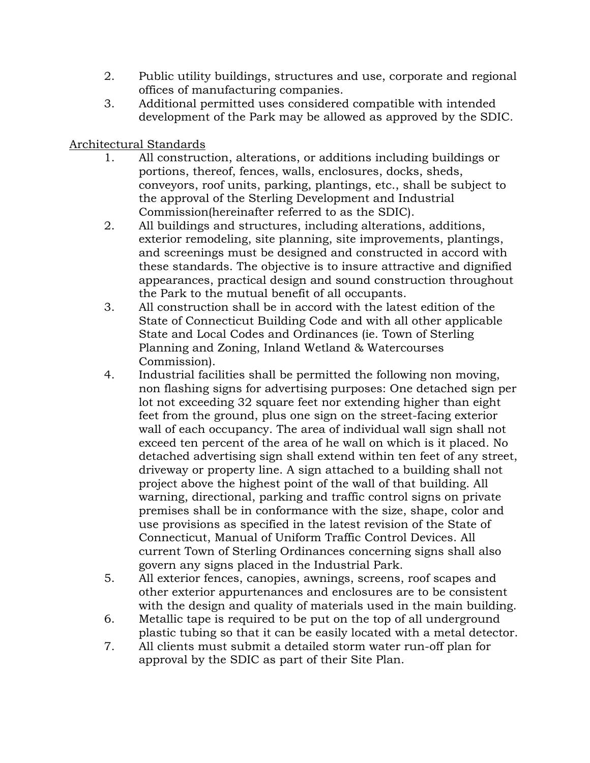- 2. Public utility buildings, structures and use, corporate and regional offices of manufacturing companies.
- 3. Additional permitted uses considered compatible with intended development of the Park may be allowed as approved by the SDIC.

# Architectural Standards

- 1. All construction, alterations, or additions including buildings or portions, thereof, fences, walls, enclosures, docks, sheds, conveyors, roof units, parking, plantings, etc., shall be subject to the approval of the Sterling Development and Industrial Commission(hereinafter referred to as the SDIC).
- 2. All buildings and structures, including alterations, additions, exterior remodeling, site planning, site improvements, plantings, and screenings must be designed and constructed in accord with these standards. The objective is to insure attractive and dignified appearances, practical design and sound construction throughout the Park to the mutual benefit of all occupants.
- 3. All construction shall be in accord with the latest edition of the State of Connecticut Building Code and with all other applicable State and Local Codes and Ordinances (ie. Town of Sterling Planning and Zoning, Inland Wetland & Watercourses Commission).
- 4. Industrial facilities shall be permitted the following non moving, non flashing signs for advertising purposes: One detached sign per lot not exceeding 32 square feet nor extending higher than eight feet from the ground, plus one sign on the street-facing exterior wall of each occupancy. The area of individual wall sign shall not exceed ten percent of the area of he wall on which is it placed. No detached advertising sign shall extend within ten feet of any street, driveway or property line. A sign attached to a building shall not project above the highest point of the wall of that building. All warning, directional, parking and traffic control signs on private premises shall be in conformance with the size, shape, color and use provisions as specified in the latest revision of the State of Connecticut, Manual of Uniform Traffic Control Devices. All current Town of Sterling Ordinances concerning signs shall also govern any signs placed in the Industrial Park.
- 5. All exterior fences, canopies, awnings, screens, roof scapes and other exterior appurtenances and enclosures are to be consistent with the design and quality of materials used in the main building.
- 6. Metallic tape is required to be put on the top of all underground plastic tubing so that it can be easily located with a metal detector.
- 7. All clients must submit a detailed storm water run-off plan for approval by the SDIC as part of their Site Plan.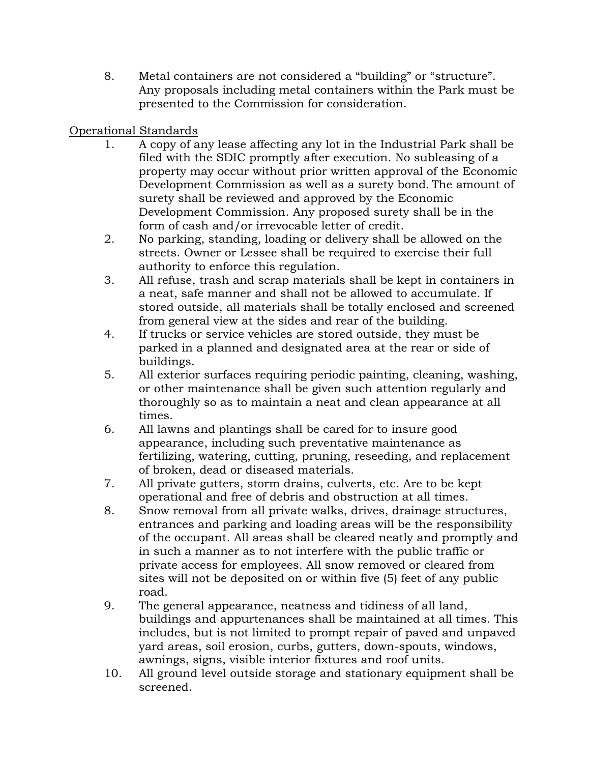8. Metal containers are not considered a "building" or "structure". Any proposals including metal containers within the Park must be presented to the Commission for consideration.

# Operational Standards

- 1. A copy of any lease affecting any lot in the Industrial Park shall be filed with the SDIC promptly after execution. No subleasing of a property may occur without prior written approval of the Economic Development Commission as well as a surety bond. The amount of surety shall be reviewed and approved by the Economic Development Commission. Any proposed surety shall be in the form of cash and/or irrevocable letter of credit.
- 2. No parking, standing, loading or delivery shall be allowed on the streets. Owner or Lessee shall be required to exercise their full authority to enforce this regulation.
- 3. All refuse, trash and scrap materials shall be kept in containers in a neat, safe manner and shall not be allowed to accumulate. If stored outside, all materials shall be totally enclosed and screened from general view at the sides and rear of the building.
- 4. If trucks or service vehicles are stored outside, they must be parked in a planned and designated area at the rear or side of buildings.
- 5. All exterior surfaces requiring periodic painting, cleaning, washing, or other maintenance shall be given such attention regularly and thoroughly so as to maintain a neat and clean appearance at all times.
- 6. All lawns and plantings shall be cared for to insure good appearance, including such preventative maintenance as fertilizing, watering, cutting, pruning, reseeding, and replacement of broken, dead or diseased materials.
- 7. All private gutters, storm drains, culverts, etc. Are to be kept operational and free of debris and obstruction at all times.
- 8. Snow removal from all private walks, drives, drainage structures, entrances and parking and loading areas will be the responsibility of the occupant. All areas shall be cleared neatly and promptly and in such a manner as to not interfere with the public traffic or private access for employees. All snow removed or cleared from sites will not be deposited on or within five (5) feet of any public road.
- 9. The general appearance, neatness and tidiness of all land, buildings and appurtenances shall be maintained at all times. This includes, but is not limited to prompt repair of paved and unpaved yard areas, soil erosion, curbs, gutters, down-spouts, windows, awnings, signs, visible interior fixtures and roof units.
- 10. All ground level outside storage and stationary equipment shall be screened.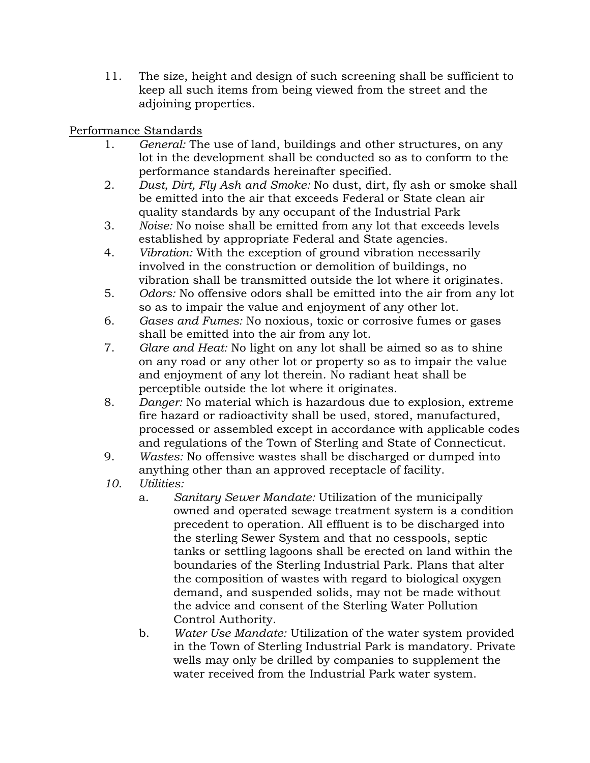11. The size, height and design of such screening shall be sufficient to keep all such items from being viewed from the street and the adjoining properties.

# Performance Standards

- 1. *General:* The use of land, buildings and other structures, on any lot in the development shall be conducted so as to conform to the performance standards hereinafter specified.
- 2. *Dust, Dirt, Fly Ash and Smoke:* No dust, dirt, fly ash or smoke shall be emitted into the air that exceeds Federal or State clean air quality standards by any occupant of the Industrial Park
- 3. *Noise:* No noise shall be emitted from any lot that exceeds levels established by appropriate Federal and State agencies.
- 4. *Vibration:* With the exception of ground vibration necessarily involved in the construction or demolition of buildings, no vibration shall be transmitted outside the lot where it originates.
- 5. *Odors:* No offensive odors shall be emitted into the air from any lot so as to impair the value and enjoyment of any other lot.
- 6. *Gases and Fumes:* No noxious, toxic or corrosive fumes or gases shall be emitted into the air from any lot.
- 7. *Glare and Heat:* No light on any lot shall be aimed so as to shine on any road or any other lot or property so as to impair the value and enjoyment of any lot therein. No radiant heat shall be perceptible outside the lot where it originates.
- 8. *Danger:* No material which is hazardous due to explosion, extreme fire hazard or radioactivity shall be used, stored, manufactured, processed or assembled except in accordance with applicable codes and regulations of the Town of Sterling and State of Connecticut.
- 9. *Wastes:* No offensive wastes shall be discharged or dumped into anything other than an approved receptacle of facility.
- *10. Utilities:*
	- a. *Sanitary Sewer Mandate:* Utilization of the municipally owned and operated sewage treatment system is a condition precedent to operation. All effluent is to be discharged into the sterling Sewer System and that no cesspools, septic tanks or settling lagoons shall be erected on land within the boundaries of the Sterling Industrial Park. Plans that alter the composition of wastes with regard to biological oxygen demand, and suspended solids, may not be made without the advice and consent of the Sterling Water Pollution Control Authority.
	- b. *Water Use Mandate:* Utilization of the water system provided in the Town of Sterling Industrial Park is mandatory. Private wells may only be drilled by companies to supplement the water received from the Industrial Park water system.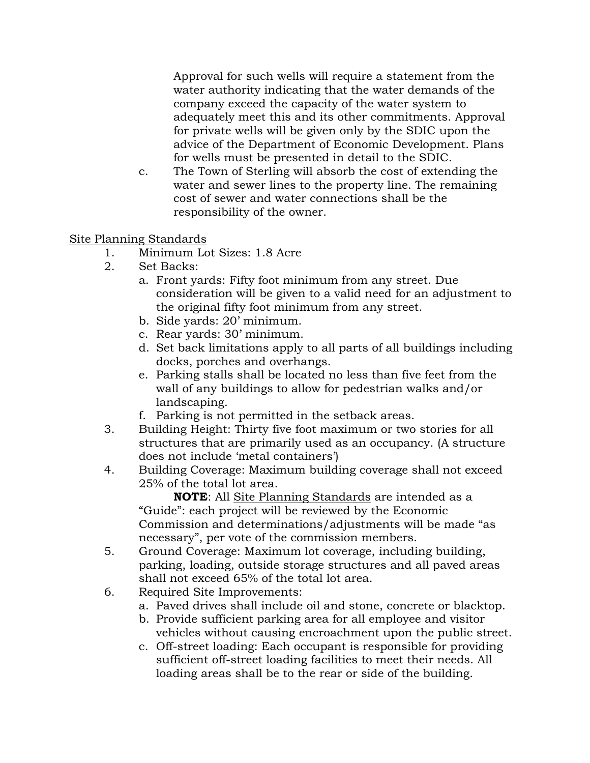Approval for such wells will require a statement from the water authority indicating that the water demands of the company exceed the capacity of the water system to adequately meet this and its other commitments. Approval for private wells will be given only by the SDIC upon the advice of the Department of Economic Development. Plans for wells must be presented in detail to the SDIC.

c. The Town of Sterling will absorb the cost of extending the water and sewer lines to the property line. The remaining cost of sewer and water connections shall be the responsibility of the owner.

# Site Planning Standards

- 1. Minimum Lot Sizes: 1.8 Acre
- 2. Set Backs:
	- a. Front yards: Fifty foot minimum from any street. Due consideration will be given to a valid need for an adjustment to the original fifty foot minimum from any street.
	- b. Side yards: 20' minimum.
	- c. Rear yards: 30' minimum.
	- d. Set back limitations apply to all parts of all buildings including docks, porches and overhangs.
	- e. Parking stalls shall be located no less than five feet from the wall of any buildings to allow for pedestrian walks and/or landscaping.
	- f. Parking is not permitted in the setback areas.
- 3. Building Height: Thirty five foot maximum or two stories for all structures that are primarily used as an occupancy. (A structure does not include 'metal containers')
- 4. Building Coverage: Maximum building coverage shall not exceed 25% of the total lot area.

**NOTE**: All Site Planning Standards are intended as a "Guide": each project will be reviewed by the Economic Commission and determinations/adjustments will be made "as necessary", per vote of the commission members.

- 5. Ground Coverage: Maximum lot coverage, including building, parking, loading, outside storage structures and all paved areas shall not exceed 65% of the total lot area.
- 6. Required Site Improvements:
	- a. Paved drives shall include oil and stone, concrete or blacktop.
	- b. Provide sufficient parking area for all employee and visitor vehicles without causing encroachment upon the public street.
	- c. Off-street loading: Each occupant is responsible for providing sufficient off-street loading facilities to meet their needs. All loading areas shall be to the rear or side of the building.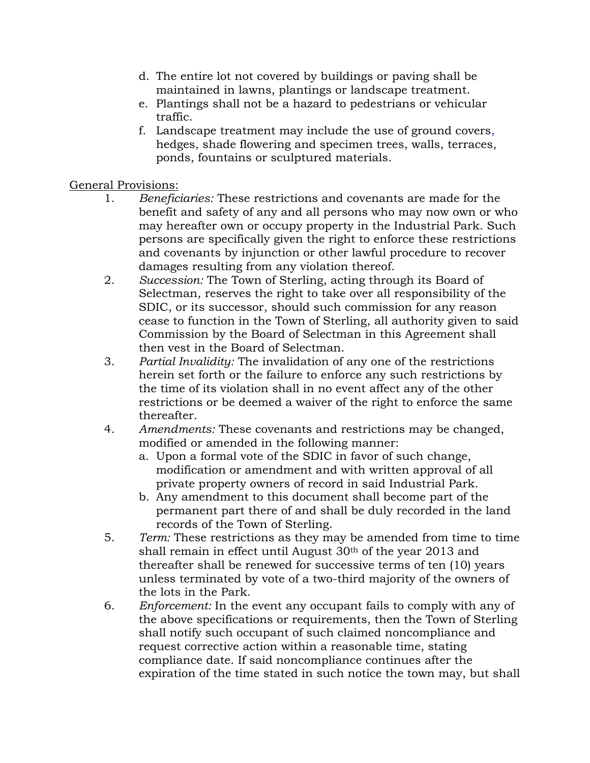- d. The entire lot not covered by buildings or paving shall be maintained in lawns, plantings or landscape treatment.
- e. Plantings shall not be a hazard to pedestrians or vehicular traffic.
- f. Landscape treatment may include the use of ground covers, hedges, shade flowering and specimen trees, walls, terraces, ponds, fountains or sculptured materials.

# General Provisions:

- 1. *Beneficiaries:* These restrictions and covenants are made for the benefit and safety of any and all persons who may now own or who may hereafter own or occupy property in the Industrial Park. Such persons are specifically given the right to enforce these restrictions and covenants by injunction or other lawful procedure to recover damages resulting from any violation thereof.
- 2. *Succession:* The Town of Sterling, acting through its Board of Selectman, reserves the right to take over all responsibility of the SDIC, or its successor, should such commission for any reason cease to function in the Town of Sterling, all authority given to said Commission by the Board of Selectman in this Agreement shall then vest in the Board of Selectman.
- 3. *Partial Invalidity:* The invalidation of any one of the restrictions herein set forth or the failure to enforce any such restrictions by the time of its violation shall in no event affect any of the other restrictions or be deemed a waiver of the right to enforce the same thereafter.
- 4. *Amendments:* These covenants and restrictions may be changed, modified or amended in the following manner:
	- a. Upon a formal vote of the SDIC in favor of such change, modification or amendment and with written approval of all private property owners of record in said Industrial Park.
	- b. Any amendment to this document shall become part of the permanent part there of and shall be duly recorded in the land records of the Town of Sterling.
- 5. *Term:* These restrictions as they may be amended from time to time shall remain in effect until August 30th of the year 2013 and thereafter shall be renewed for successive terms of ten (10) years unless terminated by vote of a two-third majority of the owners of the lots in the Park.
- 6. *Enforcement:* In the event any occupant fails to comply with any of the above specifications or requirements, then the Town of Sterling shall notify such occupant of such claimed noncompliance and request corrective action within a reasonable time, stating compliance date. If said noncompliance continues after the expiration of the time stated in such notice the town may, but shall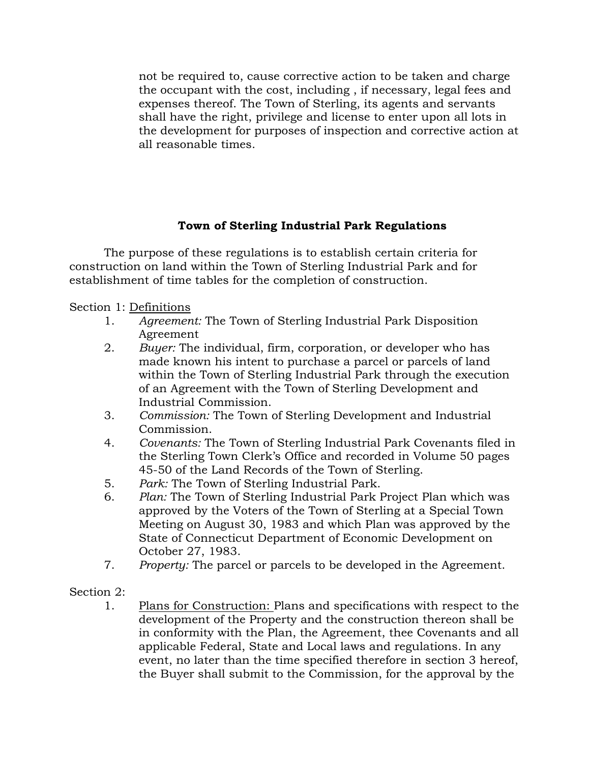not be required to, cause corrective action to be taken and charge the occupant with the cost, including , if necessary, legal fees and expenses thereof. The Town of Sterling, its agents and servants shall have the right, privilege and license to enter upon all lots in the development for purposes of inspection and corrective action at all reasonable times.

# **Town of Sterling Industrial Park Regulations**

The purpose of these regulations is to establish certain criteria for construction on land within the Town of Sterling Industrial Park and for establishment of time tables for the completion of construction.

Section 1: Definitions

- 1. *Agreement:* The Town of Sterling Industrial Park Disposition Agreement
- 2. *Buyer:* The individual, firm, corporation, or developer who has made known his intent to purchase a parcel or parcels of land within the Town of Sterling Industrial Park through the execution of an Agreement with the Town of Sterling Development and Industrial Commission.
- 3. *Commission:* The Town of Sterling Development and Industrial Commission.
- 4. *Covenants:* The Town of Sterling Industrial Park Covenants filed in the Sterling Town Clerk's Office and recorded in Volume 50 pages 45-50 of the Land Records of the Town of Sterling.
- 5. *Park:* The Town of Sterling Industrial Park.
- 6. *Plan:* The Town of Sterling Industrial Park Project Plan which was approved by the Voters of the Town of Sterling at a Special Town Meeting on August 30, 1983 and which Plan was approved by the State of Connecticut Department of Economic Development on October 27, 1983.
- 7. *Property:* The parcel or parcels to be developed in the Agreement.
- Section 2:
	- 1. Plans for Construction: Plans and specifications with respect to the development of the Property and the construction thereon shall be in conformity with the Plan, the Agreement, thee Covenants and all applicable Federal, State and Local laws and regulations. In any event, no later than the time specified therefore in section 3 hereof, the Buyer shall submit to the Commission, for the approval by the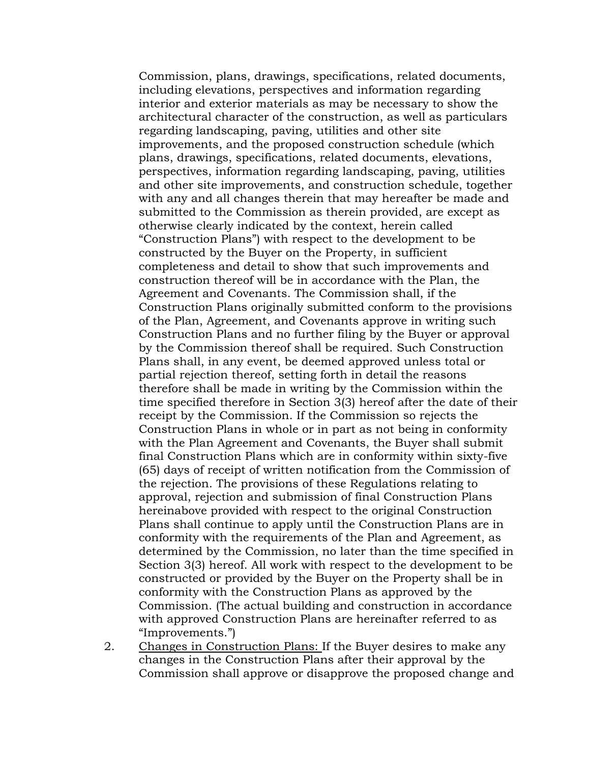Commission, plans, drawings, specifications, related documents, including elevations, perspectives and information regarding interior and exterior materials as may be necessary to show the architectural character of the construction, as well as particulars regarding landscaping, paving, utilities and other site improvements, and the proposed construction schedule (which plans, drawings, specifications, related documents, elevations, perspectives, information regarding landscaping, paving, utilities and other site improvements, and construction schedule, together with any and all changes therein that may hereafter be made and submitted to the Commission as therein provided, are except as otherwise clearly indicated by the context, herein called "Construction Plans") with respect to the development to be constructed by the Buyer on the Property, in sufficient completeness and detail to show that such improvements and construction thereof will be in accordance with the Plan, the Agreement and Covenants. The Commission shall, if the Construction Plans originally submitted conform to the provisions of the Plan, Agreement, and Covenants approve in writing such Construction Plans and no further filing by the Buyer or approval by the Commission thereof shall be required. Such Construction Plans shall, in any event, be deemed approved unless total or partial rejection thereof, setting forth in detail the reasons therefore shall be made in writing by the Commission within the time specified therefore in Section 3(3) hereof after the date of their receipt by the Commission. If the Commission so rejects the Construction Plans in whole or in part as not being in conformity with the Plan Agreement and Covenants, the Buyer shall submit final Construction Plans which are in conformity within sixty-five (65) days of receipt of written notification from the Commission of the rejection. The provisions of these Regulations relating to approval, rejection and submission of final Construction Plans hereinabove provided with respect to the original Construction Plans shall continue to apply until the Construction Plans are in conformity with the requirements of the Plan and Agreement, as determined by the Commission, no later than the time specified in Section 3(3) hereof. All work with respect to the development to be constructed or provided by the Buyer on the Property shall be in conformity with the Construction Plans as approved by the Commission. (The actual building and construction in accordance with approved Construction Plans are hereinafter referred to as "Improvements.")

2. Changes in Construction Plans: If the Buyer desires to make any changes in the Construction Plans after their approval by the Commission shall approve or disapprove the proposed change and